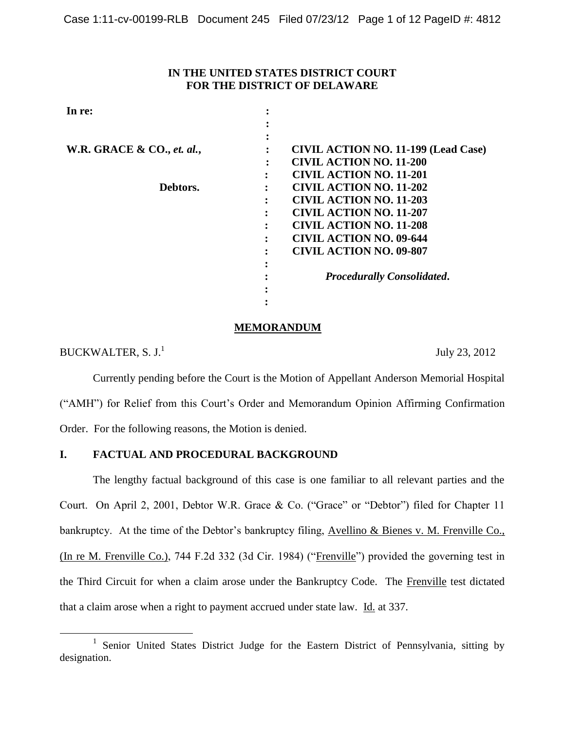### **IN THE UNITED STATES DISTRICT COURT FOR THE DISTRICT OF DELAWARE**

| In re:                                |                                            |
|---------------------------------------|--------------------------------------------|
|                                       |                                            |
|                                       |                                            |
| <b>W.R. GRACE &amp; CO., et. al.,</b> | <b>CIVIL ACTION NO. 11-199 (Lead Case)</b> |
|                                       | <b>CIVIL ACTION NO. 11-200</b>             |
|                                       | <b>CIVIL ACTION NO. 11-201</b>             |
| Debtors.                              | <b>CIVIL ACTION NO. 11-202</b>             |
|                                       | <b>CIVIL ACTION NO. 11-203</b>             |
|                                       | <b>CIVIL ACTION NO. 11-207</b>             |
|                                       | <b>CIVIL ACTION NO. 11-208</b>             |
|                                       | <b>CIVIL ACTION NO. 09-644</b>             |
|                                       | <b>CIVIL ACTION NO. 09-807</b>             |
|                                       |                                            |
|                                       | <b>Procedurally Consolidated.</b>          |
|                                       |                                            |
|                                       |                                            |

## **MEMORANDUM**

BUCKWALTER,  $S. J<sup>1</sup>$ 

 $\overline{a}$ 

July 23, 2012

Currently pending before the Court is the Motion of Appellant Anderson Memorial Hospital ("AMH") for Relief from this Court's Order and Memorandum Opinion Affirming Confirmation Order. For the following reasons, the Motion is denied.

# **I. FACTUAL AND PROCEDURAL BACKGROUND**

The lengthy factual background of this case is one familiar to all relevant parties and the Court. On April 2, 2001, Debtor W.R. Grace & Co. ("Grace" or "Debtor") filed for Chapter 11 bankruptcy. At the time of the Debtor's bankruptcy filing, Avellino & Bienes v. M. Frenville Co., (In re M. Frenville Co.), 744 F.2d 332 (3d Cir. 1984) ("Frenville") provided the governing test in the Third Circuit for when a claim arose under the Bankruptcy Code. The Frenville test dictated that a claim arose when a right to payment accrued under state law. Id. at 337.

<sup>&</sup>lt;sup>1</sup> Senior United States District Judge for the Eastern District of Pennsylvania, sitting by designation.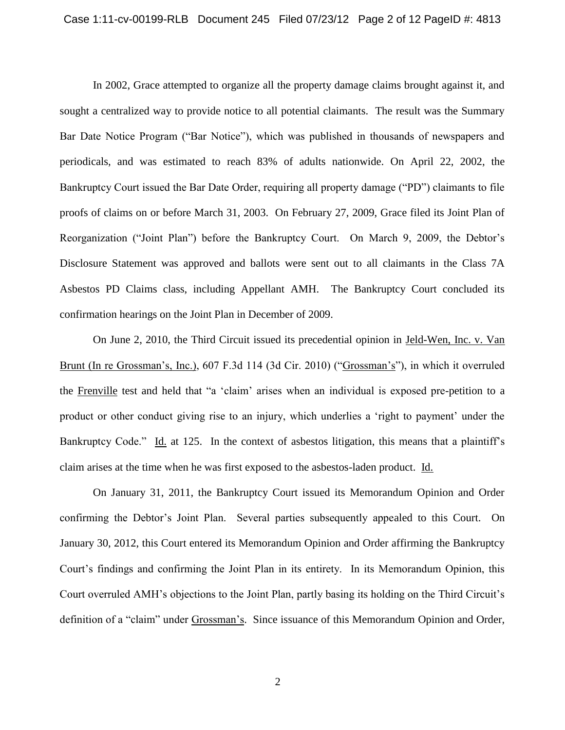In 2002, Grace attempted to organize all the property damage claims brought against it, and sought a centralized way to provide notice to all potential claimants. The result was the Summary Bar Date Notice Program ("Bar Notice"), which was published in thousands of newspapers and periodicals, and was estimated to reach 83% of adults nationwide. On April 22, 2002, the Bankruptcy Court issued the Bar Date Order, requiring all property damage ("PD") claimants to file proofs of claims on or before March 31, 2003. On February 27, 2009, Grace filed its Joint Plan of Reorganization ("Joint Plan") before the Bankruptcy Court. On March 9, 2009, the Debtor's Disclosure Statement was approved and ballots were sent out to all claimants in the Class 7A Asbestos PD Claims class, including Appellant AMH. The Bankruptcy Court concluded its confirmation hearings on the Joint Plan in December of 2009.

On June 2, 2010, the Third Circuit issued its precedential opinion in Jeld-Wen, Inc. v. Van Brunt (In re Grossman's, Inc.), 607 F.3d 114 (3d Cir. 2010) ("Grossman's"), in which it overruled the Frenville test and held that "a 'claim' arises when an individual is exposed pre-petition to a product or other conduct giving rise to an injury, which underlies a 'right to payment' under the Bankruptcy Code." Id. at 125. In the context of asbestos litigation, this means that a plaintiff's claim arises at the time when he was first exposed to the asbestos-laden product. Id.

On January 31, 2011, the Bankruptcy Court issued its Memorandum Opinion and Order confirming the Debtor's Joint Plan. Several parties subsequently appealed to this Court. On January 30, 2012, this Court entered its Memorandum Opinion and Order affirming the Bankruptcy Court's findings and confirming the Joint Plan in its entirety. In its Memorandum Opinion, this Court overruled AMH's objections to the Joint Plan, partly basing its holding on the Third Circuit's definition of a "claim" under Grossman's. Since issuance of this Memorandum Opinion and Order,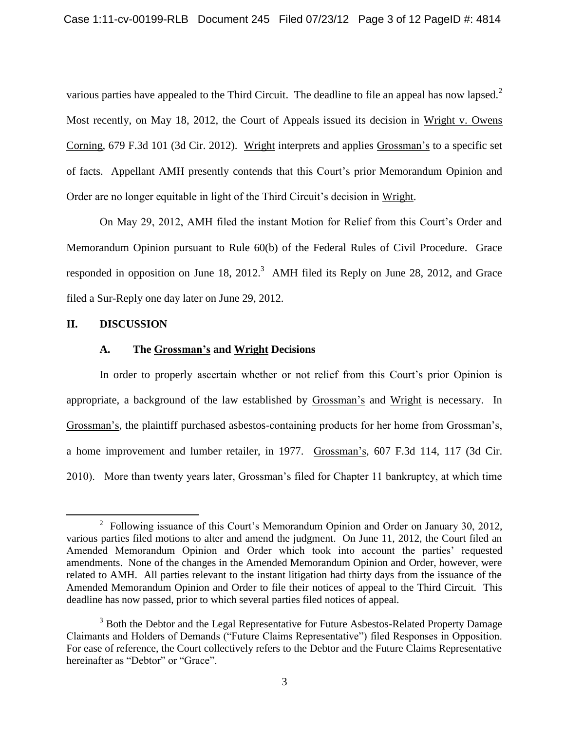various parties have appealed to the Third Circuit. The deadline to file an appeal has now lapsed.<sup>2</sup> Most recently, on May 18, 2012, the Court of Appeals issued its decision in Wright v. Owens Corning, 679 F.3d 101 (3d Cir. 2012). Wright interprets and applies Grossman's to a specific set of facts. Appellant AMH presently contends that this Court's prior Memorandum Opinion and Order are no longer equitable in light of the Third Circuit's decision in Wright.

On May 29, 2012, AMH filed the instant Motion for Relief from this Court's Order and Memorandum Opinion pursuant to Rule 60(b) of the Federal Rules of Civil Procedure. Grace responded in opposition on June 18, 2012.<sup>3</sup> AMH filed its Reply on June 28, 2012, and Grace filed a Sur-Reply one day later on June 29, 2012.

### **II. DISCUSSION**

 $\overline{a}$ 

## **A. The Grossman's and Wright Decisions**

In order to properly ascertain whether or not relief from this Court's prior Opinion is appropriate, a background of the law established by Grossman's and Wright is necessary. In Grossman's, the plaintiff purchased asbestos-containing products for her home from Grossman's, a home improvement and lumber retailer, in 1977. Grossman's, 607 F.3d 114, 117 (3d Cir. 2010). More than twenty years later, Grossman's filed for Chapter 11 bankruptcy, at which time

<sup>&</sup>lt;sup>2</sup> Following issuance of this Court's Memorandum Opinion and Order on January 30, 2012, various parties filed motions to alter and amend the judgment. On June 11, 2012, the Court filed an Amended Memorandum Opinion and Order which took into account the parties' requested amendments. None of the changes in the Amended Memorandum Opinion and Order, however, were related to AMH. All parties relevant to the instant litigation had thirty days from the issuance of the Amended Memorandum Opinion and Order to file their notices of appeal to the Third Circuit. This deadline has now passed, prior to which several parties filed notices of appeal.

<sup>&</sup>lt;sup>3</sup> Both the Debtor and the Legal Representative for Future Asbestos-Related Property Damage Claimants and Holders of Demands ("Future Claims Representative") filed Responses in Opposition. For ease of reference, the Court collectively refers to the Debtor and the Future Claims Representative hereinafter as "Debtor" or "Grace".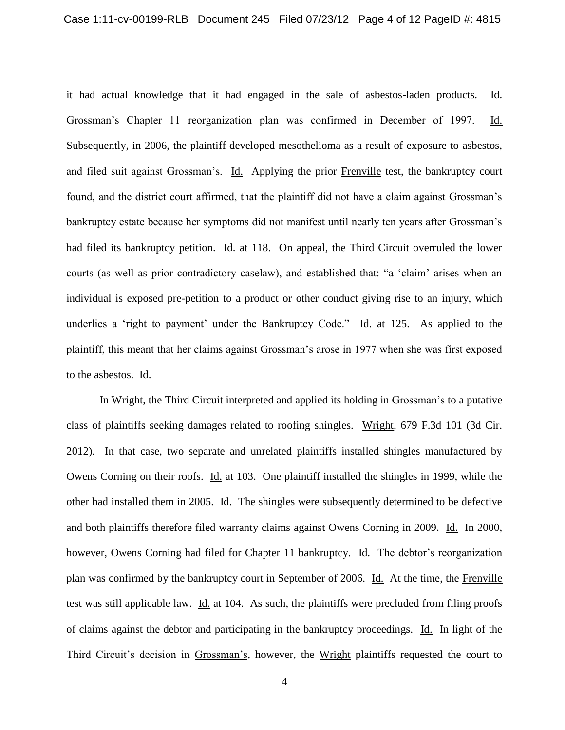it had actual knowledge that it had engaged in the sale of asbestos-laden products. Id. Grossman's Chapter 11 reorganization plan was confirmed in December of 1997. Id. Subsequently, in 2006, the plaintiff developed mesothelioma as a result of exposure to asbestos, and filed suit against Grossman's. Id. Applying the prior Frenville test, the bankruptcy court found, and the district court affirmed, that the plaintiff did not have a claim against Grossman's bankruptcy estate because her symptoms did not manifest until nearly ten years after Grossman's had filed its bankruptcy petition. Id. at 118. On appeal, the Third Circuit overruled the lower courts (as well as prior contradictory caselaw), and established that: "a 'claim' arises when an individual is exposed pre-petition to a product or other conduct giving rise to an injury, which underlies a 'right to payment' under the Bankruptcy Code." Id. at 125. As applied to the plaintiff, this meant that her claims against Grossman's arose in 1977 when she was first exposed to the asbestos. Id.

In Wright, the Third Circuit interpreted and applied its holding in Grossman's to a putative class of plaintiffs seeking damages related to roofing shingles. Wright, 679 F.3d 101 (3d Cir. 2012). In that case, two separate and unrelated plaintiffs installed shingles manufactured by Owens Corning on their roofs. Id. at 103. One plaintiff installed the shingles in 1999, while the other had installed them in 2005. Id. The shingles were subsequently determined to be defective and both plaintiffs therefore filed warranty claims against Owens Corning in 2009. Id. In 2000, however, Owens Corning had filed for Chapter 11 bankruptcy. Id. The debtor's reorganization plan was confirmed by the bankruptcy court in September of 2006. Id. At the time, the Frenville test was still applicable law. Id. at 104. As such, the plaintiffs were precluded from filing proofs of claims against the debtor and participating in the bankruptcy proceedings. Id. In light of the Third Circuit's decision in Grossman's, however, the Wright plaintiffs requested the court to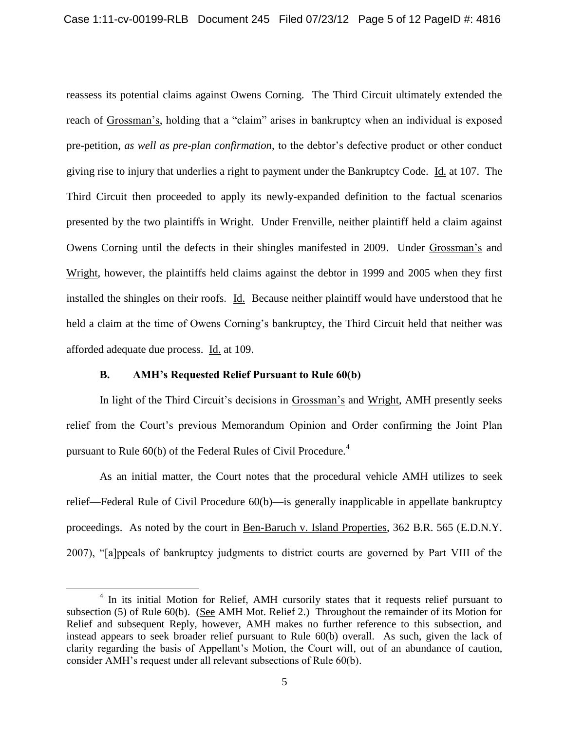reassess its potential claims against Owens Corning. The Third Circuit ultimately extended the reach of Grossman's, holding that a "claim" arises in bankruptcy when an individual is exposed pre-petition, *as well as pre-plan confirmation*, to the debtor's defective product or other conduct giving rise to injury that underlies a right to payment under the Bankruptcy Code. Id. at 107. The Third Circuit then proceeded to apply its newly-expanded definition to the factual scenarios presented by the two plaintiffs in Wright. Under Frenville, neither plaintiff held a claim against Owens Corning until the defects in their shingles manifested in 2009. Under Grossman's and Wright, however, the plaintiffs held claims against the debtor in 1999 and 2005 when they first installed the shingles on their roofs. Id. Because neither plaintiff would have understood that he held a claim at the time of Owens Corning's bankruptcy, the Third Circuit held that neither was afforded adequate due process. Id. at 109.

# **B. AMH's Requested Relief Pursuant to Rule 60(b)**

 $\overline{a}$ 

In light of the Third Circuit's decisions in Grossman's and Wright, AMH presently seeks relief from the Court's previous Memorandum Opinion and Order confirming the Joint Plan pursuant to Rule  $60(b)$  of the Federal Rules of Civil Procedure.<sup>4</sup>

As an initial matter, the Court notes that the procedural vehicle AMH utilizes to seek relief—Federal Rule of Civil Procedure 60(b)—is generally inapplicable in appellate bankruptcy proceedings. As noted by the court in Ben-Baruch v. Island Properties, 362 B.R. 565 (E.D.N.Y. 2007), "[a]ppeals of bankruptcy judgments to district courts are governed by Part VIII of the

<sup>&</sup>lt;sup>4</sup> In its initial Motion for Relief, AMH cursorily states that it requests relief pursuant to subsection (5) of Rule 60(b). (See AMH Mot. Relief 2.) Throughout the remainder of its Motion for Relief and subsequent Reply, however, AMH makes no further reference to this subsection, and instead appears to seek broader relief pursuant to Rule 60(b) overall. As such, given the lack of clarity regarding the basis of Appellant's Motion, the Court will, out of an abundance of caution, consider AMH's request under all relevant subsections of Rule 60(b).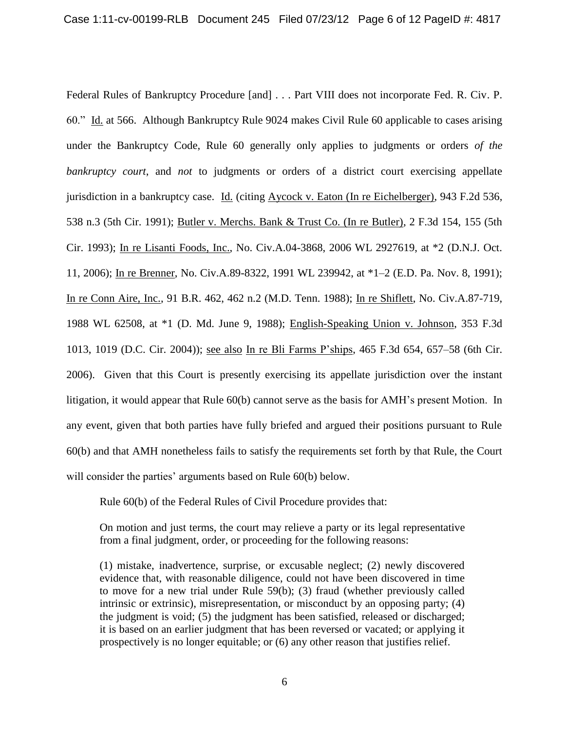Federal Rules of Bankruptcy Procedure [and] . . . Part VIII does not incorporate Fed. R. Civ. P. 60." Id. at 566. Although Bankruptcy Rule 9024 makes Civil Rule 60 applicable to cases arising under the Bankruptcy Code, Rule 60 generally only applies to judgments or orders *of the bankruptcy court*, and *not* to judgments or orders of a district court exercising appellate jurisdiction in a bankruptcy case. Id. (citing Aycock v. Eaton (In re Eichelberger), 943 F.2d 536, 538 n.3 (5th Cir. 1991); Butler v. Merchs. Bank & Trust Co. (In re Butler), 2 F.3d 154, 155 (5th Cir. 1993); In re Lisanti Foods, Inc., No. Civ.A.04-3868, 2006 WL 2927619, at \*2 (D.N.J. Oct. 11, 2006); In re Brenner, No. Civ.A.89-8322, 1991 WL 239942, at \*1–2 (E.D. Pa. Nov. 8, 1991); In re Conn Aire, Inc., 91 B.R. 462, 462 n.2 (M.D. Tenn. 1988); In re Shiflett, No. Civ.A.87-719, 1988 WL 62508, at \*1 (D. Md. June 9, 1988); English-Speaking Union v. Johnson, 353 F.3d 1013, 1019 (D.C. Cir. 2004)); see also In re Bli Farms P'ships, 465 F.3d 654, 657–58 (6th Cir. 2006). Given that this Court is presently exercising its appellate jurisdiction over the instant litigation, it would appear that Rule 60(b) cannot serve as the basis for AMH's present Motion. In any event, given that both parties have fully briefed and argued their positions pursuant to Rule 60(b) and that AMH nonetheless fails to satisfy the requirements set forth by that Rule, the Court will consider the parties' arguments based on Rule 60(b) below.

Rule 60(b) of the Federal Rules of Civil Procedure provides that:

On motion and just terms, the court may relieve a party or its legal representative from a final judgment, order, or proceeding for the following reasons:

(1) mistake, inadvertence, surprise, or excusable neglect; (2) newly discovered evidence that, with reasonable diligence, could not have been discovered in time to move for a new trial under Rule 59(b); (3) fraud (whether previously called intrinsic or extrinsic), misrepresentation, or misconduct by an opposing party; (4) the judgment is void; (5) the judgment has been satisfied, released or discharged; it is based on an earlier judgment that has been reversed or vacated; or applying it prospectively is no longer equitable; or (6) any other reason that justifies relief.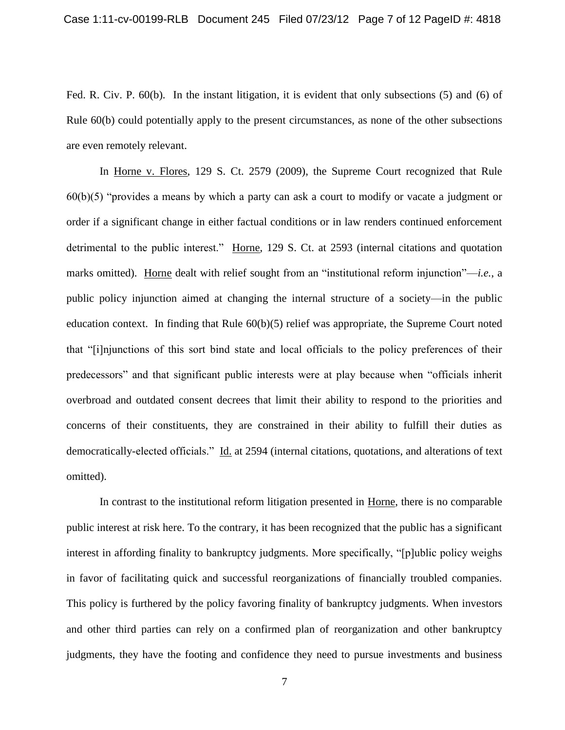Fed. R. Civ. P. 60(b). In the instant litigation, it is evident that only subsections (5) and (6) of Rule 60(b) could potentially apply to the present circumstances, as none of the other subsections are even remotely relevant.

In Horne v. Flores, 129 S. Ct. 2579 (2009), the Supreme Court recognized that Rule 60(b)(5) "provides a means by which a party can ask a court to modify or vacate a judgment or order if a significant change in either factual conditions or in law renders continued enforcement detrimental to the public interest." Horne, 129 S. Ct. at 2593 (internal citations and quotation marks omitted). Horne dealt with relief sought from an "institutional reform injunction"—*i.e.*, a public policy injunction aimed at changing the internal structure of a society—in the public education context. In finding that Rule 60(b)(5) relief was appropriate, the Supreme Court noted that "[i]njunctions of this sort bind state and local officials to the policy preferences of their predecessors" and that significant public interests were at play because when "officials inherit overbroad and outdated consent decrees that limit their ability to respond to the priorities and concerns of their constituents, they are constrained in their ability to fulfill their duties as democratically-elected officials." Id. at 2594 (internal citations, quotations, and alterations of text omitted).

In contrast to the institutional reform litigation presented in Horne, there is no comparable public interest at risk here. To the contrary, it has been recognized that the public has a significant interest in affording finality to bankruptcy judgments. More specifically, "[p]ublic policy weighs in favor of facilitating quick and successful reorganizations of financially troubled companies. This policy is furthered by the policy favoring finality of bankruptcy judgments. When investors and other third parties can rely on a confirmed plan of reorganization and other bankruptcy judgments, they have the footing and confidence they need to pursue investments and business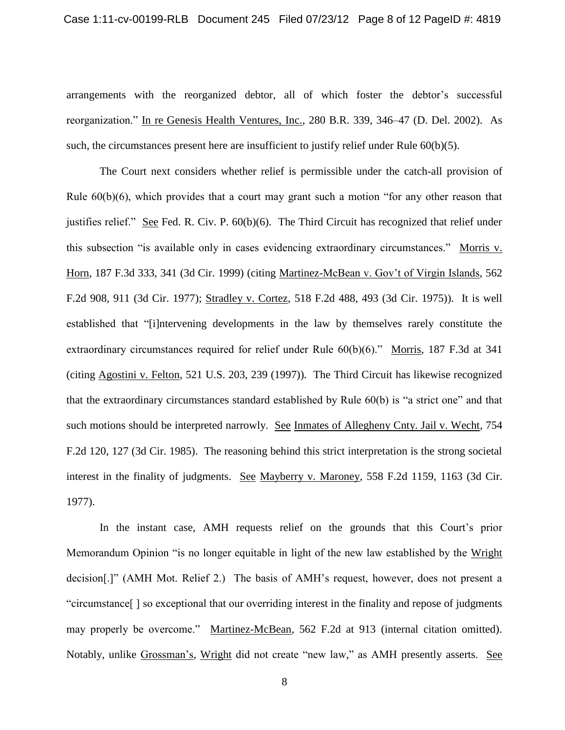arrangements with the reorganized debtor, all of which foster the debtor's successful reorganization." In re Genesis Health Ventures, Inc., 280 B.R. 339, 346–47 (D. Del. 2002). As such, the circumstances present here are insufficient to justify relief under Rule  $60(b)(5)$ .

The Court next considers whether relief is permissible under the catch-all provision of Rule  $60(b)(6)$ , which provides that a court may grant such a motion "for any other reason that justifies relief." See Fed. R. Civ. P. 60(b)(6). The Third Circuit has recognized that relief under this subsection "is available only in cases evidencing extraordinary circumstances." Morris v. Horn, 187 F.3d 333, 341 (3d Cir. 1999) (citing Martinez-McBean v. Gov't of Virgin Islands, 562 F.2d 908, 911 (3d Cir. 1977); Stradley v. Cortez, 518 F.2d 488, 493 (3d Cir. 1975)). It is well established that "[i]ntervening developments in the law by themselves rarely constitute the extraordinary circumstances required for relief under Rule 60(b)(6)." Morris, 187 F.3d at 341 (citing Agostini v. Felton, 521 U.S. 203, 239 (1997)). The Third Circuit has likewise recognized that the extraordinary circumstances standard established by Rule 60(b) is "a strict one" and that such motions should be interpreted narrowly. See Inmates of Allegheny Cnty. Jail v. Wecht, 754 F.2d 120, 127 (3d Cir. 1985). The reasoning behind this strict interpretation is the strong societal interest in the finality of judgments. See Mayberry v. Maroney, 558 F.2d 1159, 1163 (3d Cir. 1977).

In the instant case, AMH requests relief on the grounds that this Court's prior Memorandum Opinion "is no longer equitable in light of the new law established by the Wright decision[.]" (AMH Mot. Relief 2.) The basis of AMH's request, however, does not present a "circumstance[ ] so exceptional that our overriding interest in the finality and repose of judgments may properly be overcome." Martinez-McBean, 562 F.2d at 913 (internal citation omitted). Notably, unlike Grossman's, Wright did not create "new law," as AMH presently asserts. See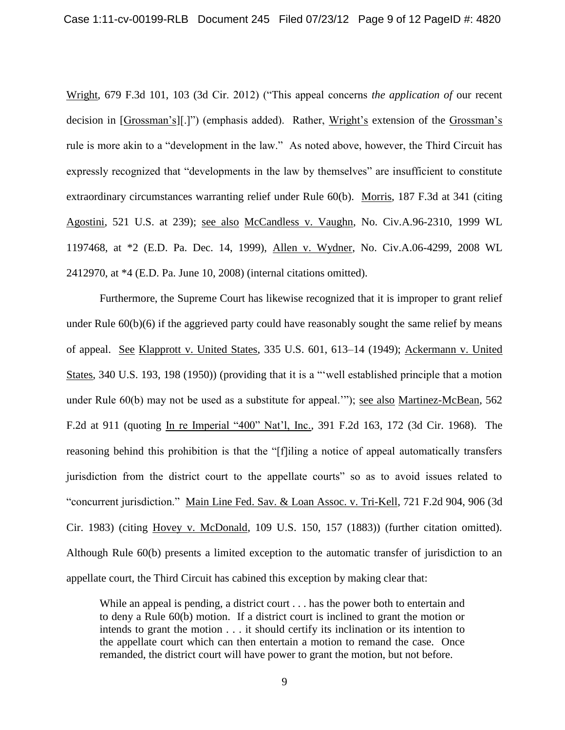Wright, 679 F.3d 101, 103 (3d Cir. 2012) ("This appeal concerns *the application of* our recent decision in [Grossman's][.]") (emphasis added). Rather, Wright's extension of the Grossman's rule is more akin to a "development in the law." As noted above, however, the Third Circuit has expressly recognized that "developments in the law by themselves" are insufficient to constitute extraordinary circumstances warranting relief under Rule 60(b). Morris, 187 F.3d at 341 (citing Agostini, 521 U.S. at 239); see also McCandless v. Vaughn, No. Civ.A.96-2310, 1999 WL 1197468, at \*2 (E.D. Pa. Dec. 14, 1999), Allen v. Wydner, No. Civ.A.06-4299, 2008 WL 2412970, at \*4 (E.D. Pa. June 10, 2008) (internal citations omitted).

Furthermore, the Supreme Court has likewise recognized that it is improper to grant relief under Rule  $60(b)(6)$  if the aggrieved party could have reasonably sought the same relief by means of appeal. See Klapprott v. United States, 335 U.S. 601, 613–14 (1949); Ackermann v. United States, 340 U.S. 193, 198 (1950)) (providing that it is a "'well established principle that a motion under Rule 60(b) may not be used as a substitute for appeal.'"); see also Martinez-McBean, 562 F.2d at 911 (quoting In re Imperial "400" Nat'l, Inc., 391 F.2d 163, 172 (3d Cir. 1968). The reasoning behind this prohibition is that the "[f]iling a notice of appeal automatically transfers jurisdiction from the district court to the appellate courts" so as to avoid issues related to "concurrent jurisdiction." Main Line Fed. Sav. & Loan Assoc. v. Tri-Kell, 721 F.2d 904, 906 (3d Cir. 1983) (citing Hovey v. McDonald, 109 U.S. 150, 157 (1883)) (further citation omitted). Although Rule 60(b) presents a limited exception to the automatic transfer of jurisdiction to an appellate court, the Third Circuit has cabined this exception by making clear that:

While an appeal is pending, a district court . . . has the power both to entertain and to deny a Rule 60(b) motion. If a district court is inclined to grant the motion or intends to grant the motion . . . it should certify its inclination or its intention to the appellate court which can then entertain a motion to remand the case. Once remanded, the district court will have power to grant the motion, but not before.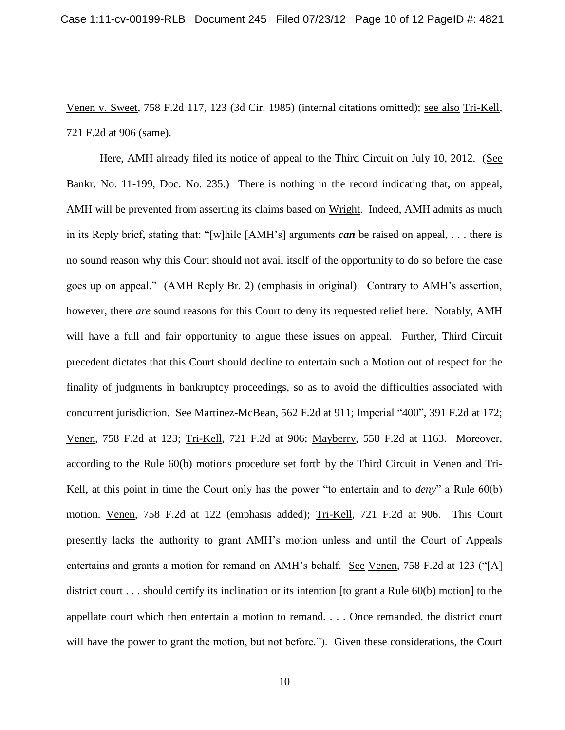Venen v. Sweet, 758 F.2d 117, 123 (3d Cir. 1985) (internal citations omitted); see also Tri-Kell, 721 F.2d at 906 (same).

Here, AMH already filed its notice of appeal to the Third Circuit on July 10, 2012. (See Bankr. No. 11-199, Doc. No. 235.) There is nothing in the record indicating that, on appeal, AMH will be prevented from asserting its claims based on Wright. Indeed, AMH admits as much in its Reply brief, stating that: "[w]hile [AMH's] arguments *can* be raised on appeal, . . . there is no sound reason why this Court should not avail itself of the opportunity to do so before the case goes up on appeal." (AMH Reply Br. 2) (emphasis in original). Contrary to AMH's assertion, however, there *are* sound reasons for this Court to deny its requested relief here. Notably, AMH will have a full and fair opportunity to argue these issues on appeal. Further, Third Circuit precedent dictates that this Court should decline to entertain such a Motion out of respect for the finality of judgments in bankruptcy proceedings, so as to avoid the difficulties associated with concurrent jurisdiction. See Martinez-McBean, 562 F.2d at 911; Imperial "400", 391 F.2d at 172; Venen, 758 F.2d at 123; Tri-Kell, 721 F.2d at 906; Mayberry, 558 F.2d at 1163. Moreover, according to the Rule 60(b) motions procedure set forth by the Third Circuit in Venen and Tri-Kell, at this point in time the Court only has the power "to entertain and to *deny*" a Rule 60(b) motion. Venen, 758 F.2d at 122 (emphasis added); Tri-Kell, 721 F.2d at 906. This Court presently lacks the authority to grant AMH's motion unless and until the Court of Appeals entertains and grants a motion for remand on AMH's behalf. See Venen, 758 F.2d at 123 ("[A] district court . . . should certify its inclination or its intention [to grant a Rule 60(b) motion] to the appellate court which then entertain a motion to remand. . . . Once remanded, the district court will have the power to grant the motion, but not before."). Given these considerations, the Court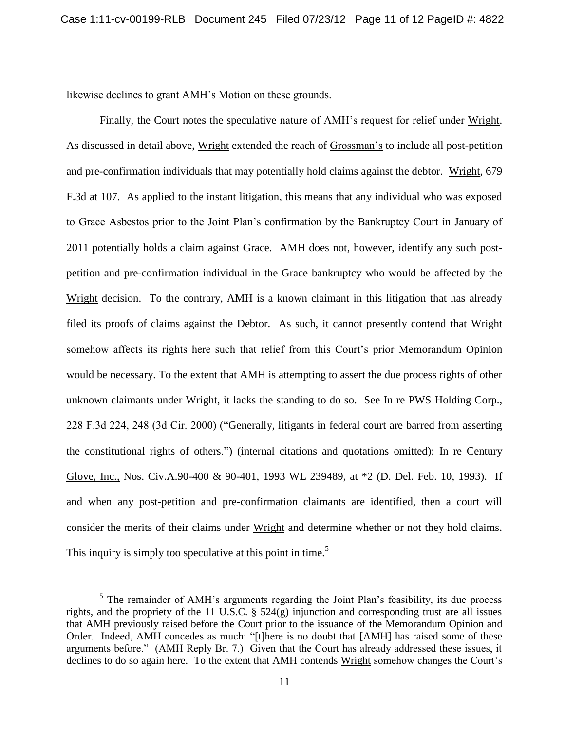likewise declines to grant AMH's Motion on these grounds.

Finally, the Court notes the speculative nature of AMH's request for relief under Wright. As discussed in detail above, Wright extended the reach of Grossman's to include all post-petition and pre-confirmation individuals that may potentially hold claims against the debtor. Wright, 679 F.3d at 107. As applied to the instant litigation, this means that any individual who was exposed to Grace Asbestos prior to the Joint Plan's confirmation by the Bankruptcy Court in January of 2011 potentially holds a claim against Grace. AMH does not, however, identify any such postpetition and pre-confirmation individual in the Grace bankruptcy who would be affected by the Wright decision. To the contrary, AMH is a known claimant in this litigation that has already filed its proofs of claims against the Debtor. As such, it cannot presently contend that Wright somehow affects its rights here such that relief from this Court's prior Memorandum Opinion would be necessary. To the extent that AMH is attempting to assert the due process rights of other unknown claimants under Wright, it lacks the standing to do so. See In re PWS Holding Corp., 228 F.3d 224, 248 (3d Cir. 2000) ("Generally, litigants in federal court are barred from asserting the constitutional rights of others.") (internal citations and quotations omitted); In re Century Glove, Inc., Nos. Civ.A.90-400 & 90-401, 1993 WL 239489, at \*2 (D. Del. Feb. 10, 1993). If and when any post-petition and pre-confirmation claimants are identified, then a court will consider the merits of their claims under Wright and determine whether or not they hold claims. This inquiry is simply too speculative at this point in time.<sup>5</sup>

 $\overline{a}$ 

<sup>&</sup>lt;sup>5</sup> The remainder of AMH's arguments regarding the Joint Plan's feasibility, its due process rights, and the propriety of the 11 U.S.C.  $\S$  524(g) injunction and corresponding trust are all issues that AMH previously raised before the Court prior to the issuance of the Memorandum Opinion and Order. Indeed, AMH concedes as much: "[t]here is no doubt that [AMH] has raised some of these arguments before." (AMH Reply Br. 7.) Given that the Court has already addressed these issues, it declines to do so again here. To the extent that AMH contends Wright somehow changes the Court's